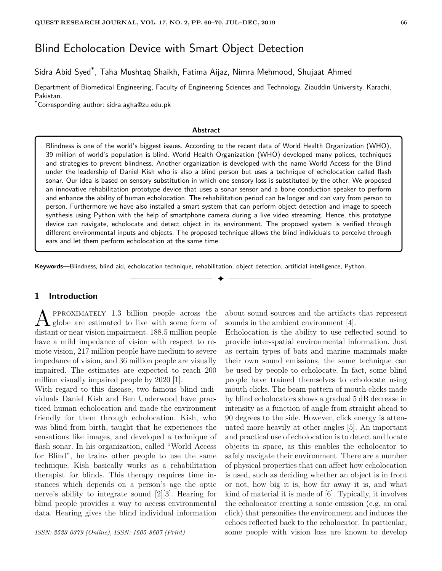# Blind Echolocation Device with Smart Object Detection

Sidra Abid Syed\* , Taha Mushtaq Shaikh, Fatima Aijaz, Nimra Mehmood, Shujaat Ahmed

Department of Biomedical Engineering, Faculty of Engineering Sciences and Technology, Ziauddin University, Karachi, Pakistan.

\*Corresponding author: sidra.agha@zu.edu.pk

#### **Abstract**

Blindness is one of the world's biggest issues. According to the recent data of World Health Organization (WHO), 39 million of world's population is blind. World Health Organization (WHO) developed many polices, techniques and strategies to prevent blindness. Another organization is developed with the name World Access for the Blind under the leadership of Daniel Kish who is also a blind person but uses a technique of echolocation called flash sonar. Our idea is based on sensory substitution in which one sensory loss is substituted by the other. We proposed an innovative rehabilitation prototype device that uses a sonar sensor and a bone conduction speaker to perform and enhance the ability of human echolocation. The rehabilitation period can be longer and can vary from person to person. Furthermore we have also installed a smart system that can perform object detection and image to speech synthesis using Python with the help of smartphone camera during a live video streaming. Hence, this prototype device can navigate, echolocate and detect object in its environment. The proposed system is verified through different environmental inputs and objects. The proposed technique allows the blind individuals to perceive through ears and let them perform echolocation at the same time.

✦

**Keywords**—Blindness, blind aid, echolocation technique, rehabilitation, object detection, artificial intelligence, Python.

## **1 Introduction**

**A** PPROXIMATELY 1.3 billion people across the globe are estimated to live with some form of distant or near vision impairment. 188.5 million people pproximately 1.3 billion people across the globe are estimated to live with some form of have a mild impedance of vision with respect to remote vision, 217 million people have medium to severe impedance of vision, and 36 million people are visually impaired. The estimates are expected to reach 200 million visually impaired people by 2020 [1].

With regard to this disease, two famous blind individuals Daniel Kish and Ben Underwood have practiced human echolocation and made the environment friendly for them through echolocation. Kish, who was blind from birth, taught that he experiences the sensations like images, and developed a technique of flash sonar. In his organization, called "World Access for Blind", he trains other people to use the same technique. Kish basically works as a rehabilitation therapist for blinds. This therapy requires time instances which depends on a person's age the optic nerve's ability to integrate sound [2][3]. Hearing for blind people provides a way to access environmental data. Hearing gives the blind individual information

*ISSN: 2523-0379 (Online), ISSN: 1605-8607 (Print)*

about sound sources and the artifacts that represent sounds in the ambient environment [4].

Echolocation is the ability to use reflected sound to provide inter-spatial environmental information. Just as certain types of bats and marine mammals make their own sound emissions, the same technique can be used by people to echolocate. In fact, some blind people have trained themselves to echolocate using mouth clicks. The beam pattern of mouth clicks made by blind echolocators shows a gradual 5 dB decrease in intensity as a function of angle from straight ahead to 90 degrees to the side. However, click energy is attenuated more heavily at other angles [5]. An important and practical use of echolocation is to detect and locate objects in space, as this enables the echolocator to safely navigate their environment. There are a number of physical properties that can affect how echolocation is used, such as deciding whether an object is in front or not, how big it is, how far away it is, and what kind of material it is made of [6]. Typically, it involves the echolocator creating a sonic emission (e.g. an oral click) that personifies the environment and induces the echoes reflected back to the echolocator. In particular, some people with vision loss are known to develop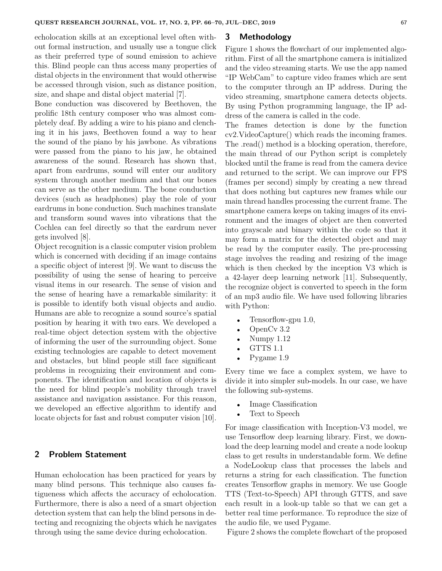echolocation skills at an exceptional level often without formal instruction, and usually use a tongue click as their preferred type of sound emission to achieve this. Blind people can thus access many properties of distal objects in the environment that would otherwise be accessed through vision, such as distance position, size, and shape and distal object material [7].

Bone conduction was discovered by Beethoven, the prolific 18th century composer who was almost completely deaf. By adding a wire to his piano and clenching it in his jaws, Beethoven found a way to hear the sound of the piano by his jawbone. As vibrations were passed from the piano to his jaw, he obtained awareness of the sound. Research has shown that, apart from eardrums, sound will enter our auditory system through another medium and that our bones can serve as the other medium. The bone conduction devices (such as headphones) play the role of your eardrums in bone conduction. Such machines translate and transform sound waves into vibrations that the Cochlea can feel directly so that the eardrum never gets involved [8].

Object recognition is a classic computer vision problem which is concerned with deciding if an image contains a specific object of interest [9]. We want to discuss the possibility of using the sense of hearing to perceive visual items in our research. The sense of vision and the sense of hearing have a remarkable similarity: it is possible to identify both visual objects and audio. Humans are able to recognize a sound source's spatial position by hearing it with two ears. We developed a real-time object detection system with the objective of informing the user of the surrounding object. Some existing technologies are capable to detect movement and obstacles, but blind people still face significant problems in recognizing their environment and components. The identification and location of objects is the need for blind people's mobility through travel assistance and navigation assistance. For this reason, we developed an effective algorithm to identify and locate objects for fast and robust computer vision [10].

## **2 Problem Statement**

Human echolocation has been practiced for years by many blind persons. This technique also causes fatigueness which affects the accuracy of echolocation. Furthermore, there is also a need of a smart objection detection system that can help the blind persons in detecting and recognizing the objects which he navigates through using the same device during echolocation.

## **3 Methodology**

Figure 1 shows the flowchart of our implemented algorithm. First of all the smartphone camera is initialized and the video streaming starts. We use the app named "IP WebCam" to capture video frames which are sent to the computer through an IP address. During the video streaming, smartphone camera detects objects. By using Python programming language, the IP address of the camera is called in the code.

The frames detection is done by the function cv2.VideoCapture() which reads the incoming frames. The .read() method is a blocking operation, therefore, the main thread of our Python script is completely blocked until the frame is read from the camera device and returned to the script. We can improve our FPS (frames per second) simply by creating a new thread that does nothing but captures new frames while our main thread handles processing the current frame. The smartphone camera keeps on taking images of its environment and the images of object are then converted into grayscale and binary within the code so that it may form a matrix for the detected object and may be read by the computer easily. The pre-processing stage involves the reading and resizing of the image which is then checked by the inception V3 which is a 42-layer deep learning network [11]. Subsequently, the recognize object is converted to speech in the form of an mp3 audio file. We have used following libraries with Python:

- Tensorflow-gpu 1.0,
- OpenCv 3.2
- Numpy 1.12
- GTTS 1.1
- Pygame 1.9

Every time we face a complex system, we have to divide it into simpler sub-models. In our case, we have the following sub-systems.

- Image Classification
- Text to Speech

For image classification with Inception-V3 model, we use Tensorflow deep learning library. First, we download the deep learning model and create a node lookup class to get results in understandable form. We define a NodeLookup class that processes the labels and returns a string for each classification. The function creates Tensorflow graphs in memory. We use Google TTS (Text-to-Speech) API through GTTS, and save each result in a look-up table so that we can get a better real time performance. To reproduce the size of the audio file, we used Pygame.

Figure 2 shows the complete flowchart of the proposed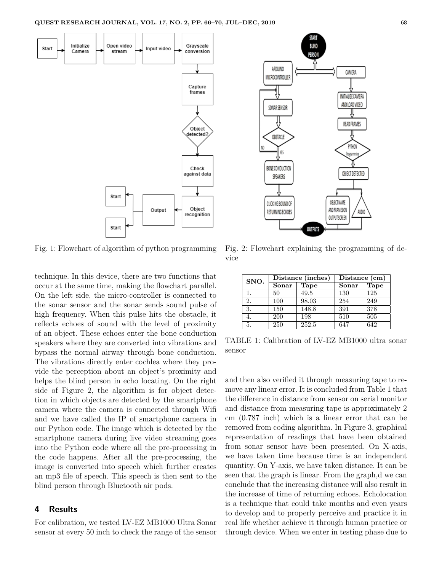

Fig. 1: Flowchart of algorithm of python programming

technique. In this device, there are two functions that occur at the same time, making the flowchart parallel. On the left side, the micro-controller is connected to the sonar sensor and the sonar sends sound pulse of high frequency. When this pulse hits the obstacle, it reflects echoes of sound with the level of proximity of an object. These echoes enter the bone conduction speakers where they are converted into vibrations and bypass the normal airway through bone conduction. The vibrations directly enter cochlea where they provide the perception about an object's proximity and helps the blind person in echo locating. On the right side of Figure 2, the algorithm is for object detection in which objects are detected by the smartphone camera where the camera is connected through Wifi and we have called the IP of smartphone camera in our Python code. The image which is detected by the smartphone camera during live video streaming goes into the Python code where all the pre-processing in the code happens. After all the pre-processing, the image is converted into speech which further creates an mp3 file of speech. This speech is then sent to the blind person through Bluetooth air pods.

#### **4 Results**

For calibration, we tested LV-EZ MB1000 Ultra Sonar sensor at every 50 inch to check the range of the sensor

Fig. 2: Flowchart explaining the programming of device

OUTPUTS

BLIND

PERSOI

CAMERA

INITIALIZE CAMERA AND LOAD VIDEO

READ FRAMES

PYTHON

Programming

OBJECT DETECTED

AUDIO

OBJECT NAME

AND FRAMES ON

OUTPUTSCREEN

ARDUINO

MICROCONTROLLER

SONARSENSOR

OBSTACLE

YES

BONE CONDUCTION

SPEAKERS

CLICKING SOUND OF

RETURNING ECHOES

| SNO. | Distance (inches) |       | Distance (cm) |             |
|------|-------------------|-------|---------------|-------------|
|      | Sonar             | Tape  | Sonar         | <b>Tape</b> |
| 1.   | 50                | 49.5  | 130           | 125         |
| 2.   | 100               | 98.03 | 254           | 249         |
| 3.   | 150               | 148.8 | 391           | 378         |
| 4.   | <b>200</b>        | 198   | 510           | 505         |
| 5.   | 250               | 252.5 | 647           | 642         |

TABLE 1: Calibration of LV-EZ MB1000 ultra sonar sensor

and then also verified it through measuring tape to remove any linear error. It is concluded from Table 1 that the difference in distance from sensor on serial monitor and distance from measuring tape is approximately 2 cm (0.787 inch) which is a linear error that can be removed from coding algorithm. In Figure 3, graphical representation of readings that have been obtained from sonar sensor have been presented. On X-axis, we have taken time because time is an independent quantity. On Y-axis, we have taken distance. It can be seen that the graph is linear. From the graph,d we can conclude that the increasing distance will also result in the increase of time of returning echoes. Echolocation is a technique that could take months and even years to develop and to properly perceive and practice it in real life whether achieve it through human practice or through device. When we enter in testing phase due to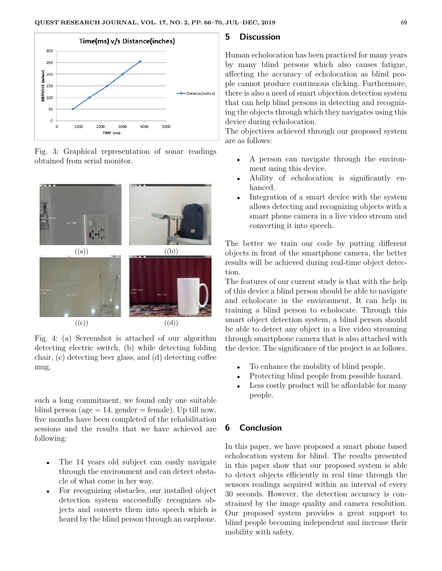

Fig. 3: Graphical representation of sonar readings obtained from serial monitor.



Fig. 4: (a) Screenshot is attached of our algorithm detecting electric switch, (b) while detecting folding chair, (c) detecting beer glass, and (d) detecting coffee mug.

such a long commitment, we found only one suitable blind person (age  $= 14$ , gender  $=$  female). Up till now, five months have been completed of the rehabilitation sessions and the results that we have achieved are following:

- The 14 years old subject can easily navigate through the environment and can detect obstacle of what come in her way.
- For recognizing obstacles, our installed object detection system successfully recognizes objects and converts them into speech which is heard by the blind person through an earphone.

## **5 Discussion**

Human echolocation has been practiced for many years by many blind persons which also causes fatigue, affecting the accuracy of echolocation as blind people cannot produce continuous clicking. Furthermore, there is also a need of smart objection detection system that can help blind persons in detecting and recognizing the objects through which they navigates using this device during echolocation.

The objectives achieved through our proposed system are as follows:

- A person can navigate through the environment using this device.
- Ability of echolocation is significantly enhanced.
- Integration of a smart device with the system allows detecting and recognizing objects with a smart phone camera in a live video stream and converting it into speech.

The better we train our code by putting different objects in front of the smartphone camera, the better results will be achieved during real-time object detection.

The features of our current study is that with the help of this device a blind person should be able to navigate and echolocate in the environment. It can help in training a blind person to echolocate. Through this smart object detection system, a blind person should be able to detect any object in a live video streaming through smartphone camera that is also attached with the device. The significance of the project is as follows.

- To enhance the mobility of blind people.
- Protecting blind people from possible hazard.
- Less costly product will be affordable for many people.

## **6 Conclusion**

In this paper, we have proposed a smart phone based echolocation system for blind. The results presented in this paper show that our proposed system is able to detect objects efficiently in real time through the sensors readings acquired within an interval of every 30 seconds. However, the detection accuracy is constrained by the image quality and camera resolution. Our proposed system provides a great support to blind people becoming independent and increase their mobility with safety.